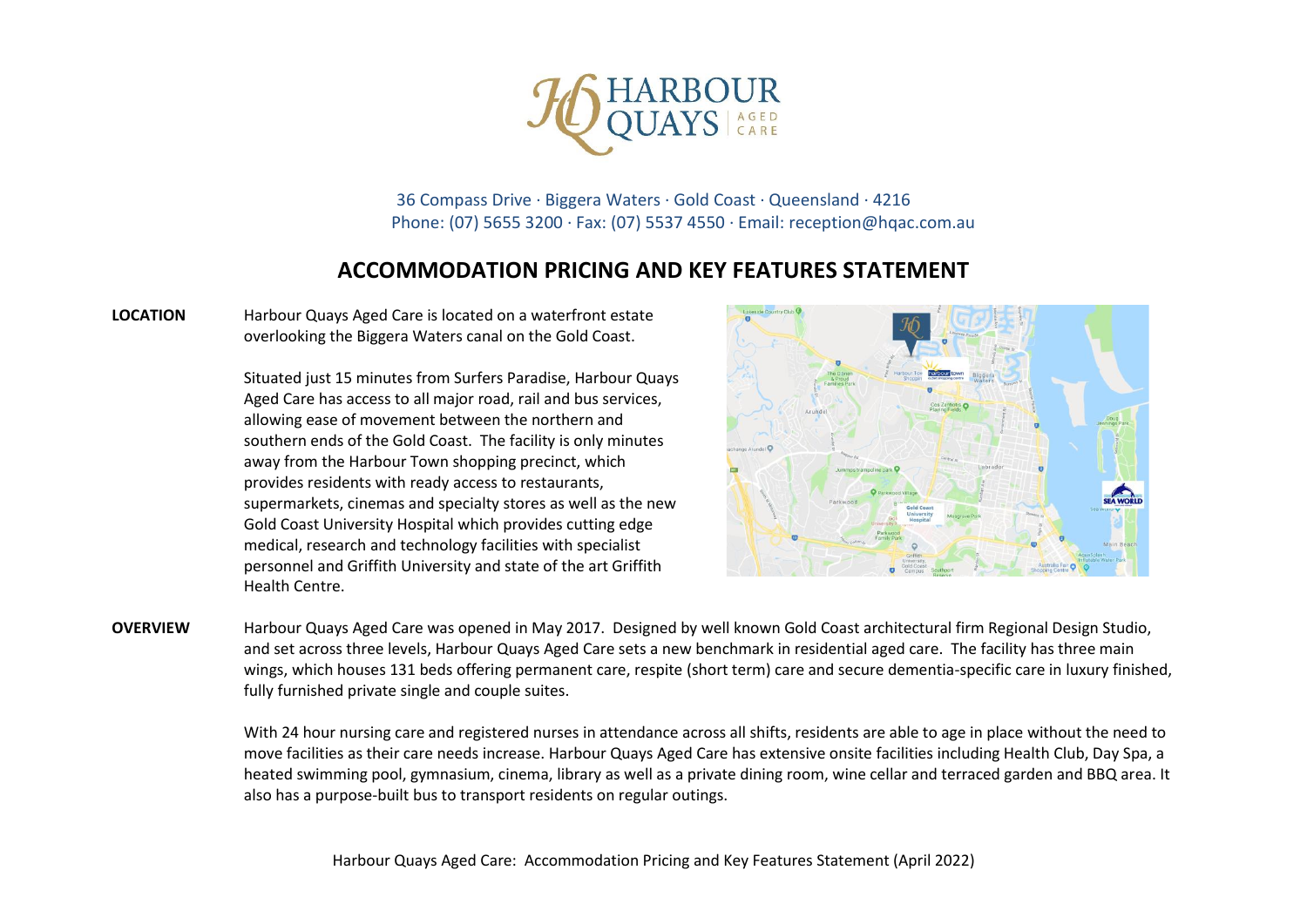

36 Compass Drive · Biggera Waters · Gold Coast · Queensland · 4216 Phone: (07) 5655 3200 · Fax: (07) 5537 4550 · Email: reception@hqac.com.au

## **ACCOMMODATION PRICING AND KEY FEATURES STATEMENT**

**LOCATION** Harbour Quays Aged Care is located on a waterfront estate overlooking the Biggera Waters canal on the Gold Coast.

> Situated just 15 minutes from Surfers Paradise, Harbour Quays Aged Care has access to all major road, rail and bus services, allowing ease of movement between the northern and southern ends of the Gold Coast. The facility is only minutes away from the Harbour Town shopping precinct, which provides residents with ready access to restaurants, supermarkets, cinemas and specialty stores as well as the new Gold Coast University Hospital which provides cutting edge medical, research and technology facilities with specialist personnel and Griffith University and state of the art Griffith Health Centre.



**OVERVIEW** Harbour Quays Aged Care was opened in May 2017. Designed by well known Gold Coast architectural firm Regional Design Studio, and set across three levels, Harbour Quays Aged Care sets a new benchmark in residential aged care. The facility has three main wings, which houses 131 beds offering permanent care, respite (short term) care and secure dementia-specific care in luxury finished, fully furnished private single and couple suites.

> With 24 hour nursing care and registered nurses in attendance across all shifts, residents are able to age in place without the need to move facilities as their care needs increase. Harbour Quays Aged Care has extensive onsite facilities including Health Club, Day Spa, a heated swimming pool, gymnasium, cinema, library as well as a private dining room, wine cellar and terraced garden and BBQ area. It also has a purpose-built bus to transport residents on regular outings.

Harbour Quays Aged Care: Accommodation Pricing and Key Features Statement (April 2022)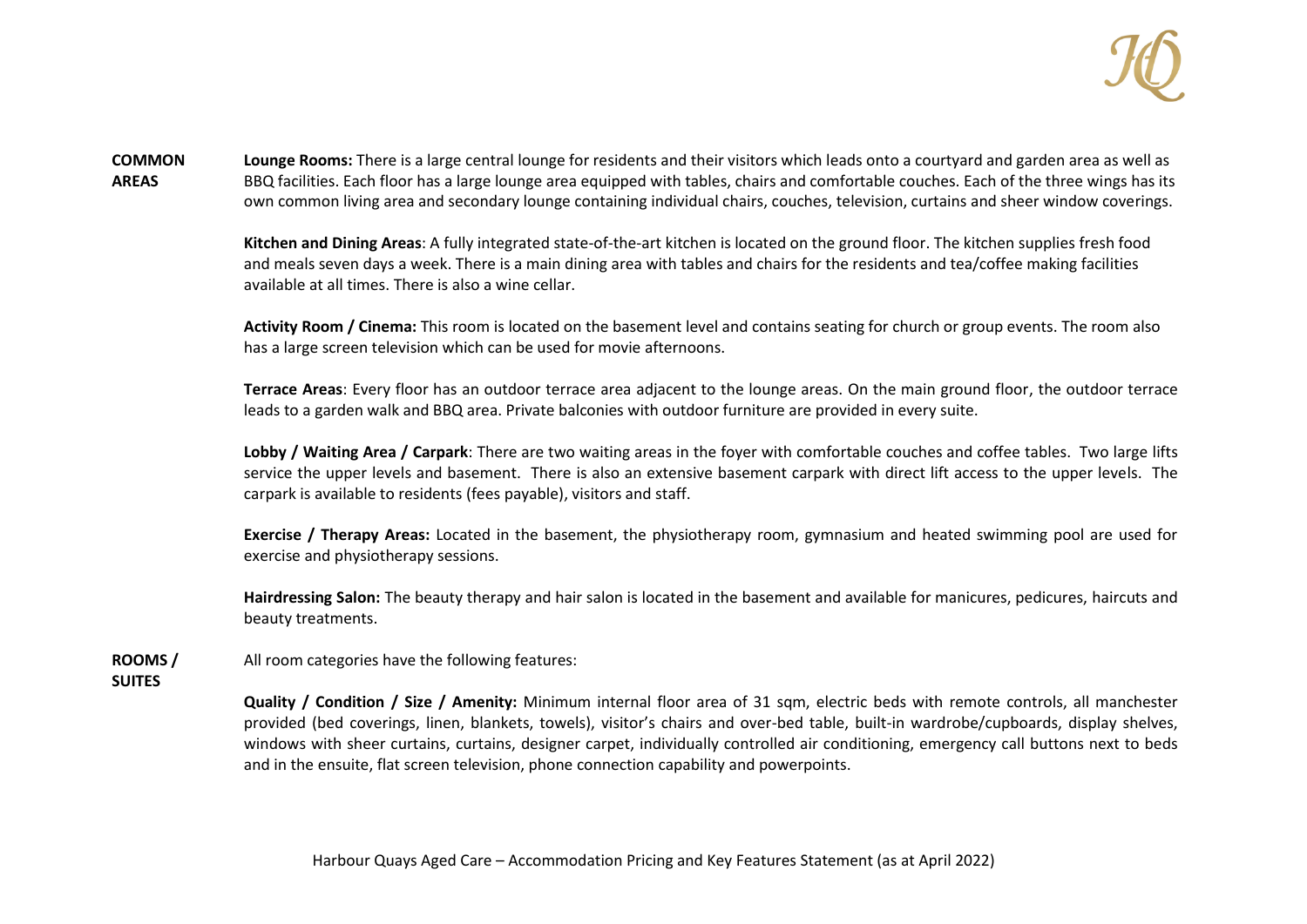

**COMMON AREAS Lounge Rooms:** There is a large central lounge for residents and their visitors which leads onto a courtyard and garden area as well as BBQ facilities. Each floor has a large lounge area equipped with tables, chairs and comfortable couches. Each of the three wings has its own common living area and secondary lounge containing individual chairs, couches, television, curtains and sheer window coverings.

> **Kitchen and Dining Areas**: A fully integrated state-of-the-art kitchen is located on the ground floor. The kitchen supplies fresh food and meals seven days a week. There is a main dining area with tables and chairs for the residents and tea/coffee making facilities available at all times. There is also a wine cellar.

**Activity Room / Cinema:** This room is located on the basement level and contains seating for church or group events. The room also has a large screen television which can be used for movie afternoons.

**Terrace Areas**: Every floor has an outdoor terrace area adjacent to the lounge areas. On the main ground floor, the outdoor terrace leads to a garden walk and BBQ area. Private balconies with outdoor furniture are provided in every suite.

**Lobby / Waiting Area / Carpark**: There are two waiting areas in the foyer with comfortable couches and coffee tables. Two large lifts service the upper levels and basement. There is also an extensive basement carpark with direct lift access to the upper levels. The carpark is available to residents (fees payable), visitors and staff.

**Exercise / Therapy Areas:** Located in the basement, the physiotherapy room, gymnasium and heated swimming pool are used for exercise and physiotherapy sessions.

**Hairdressing Salon:** The beauty therapy and hair salon is located in the basement and available for manicures, pedicures, haircuts and beauty treatments.

**ROOMS /**  All room categories have the following features:

**SUITES**

**Quality / Condition / Size / Amenity:** Minimum internal floor area of 31 sqm, electric beds with remote controls, all manchester provided (bed coverings, linen, blankets, towels), visitor's chairs and over-bed table, built-in wardrobe/cupboards, display shelves, windows with sheer curtains, curtains, designer carpet, individually controlled air conditioning, emergency call buttons next to beds and in the ensuite, flat screen television, phone connection capability and powerpoints.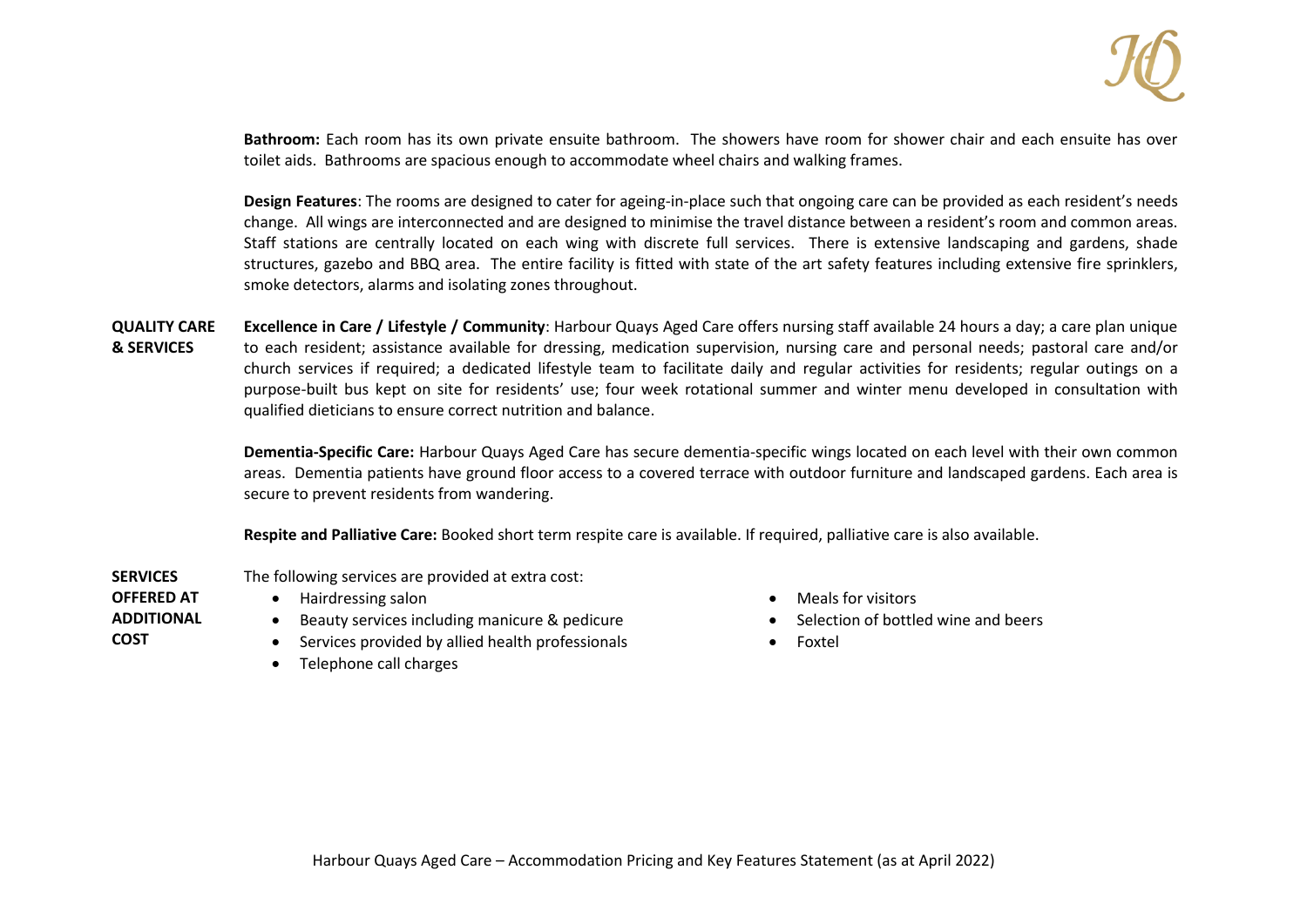

**Bathroom:** Each room has its own private ensuite bathroom. The showers have room for shower chair and each ensuite has over toilet aids. Bathrooms are spacious enough to accommodate wheel chairs and walking frames.

**Design Features**: The rooms are designed to cater for ageing-in-place such that ongoing care can be provided as each resident's needs change. All wings are interconnected and are designed to minimise the travel distance between a resident's room and common areas. Staff stations are centrally located on each wing with discrete full services. There is extensive landscaping and gardens, shade structures, gazebo and BBQ area. The entire facility is fitted with state of the art safety features including extensive fire sprinklers, smoke detectors, alarms and isolating zones throughout.

**QUALITY CARE & SERVICES Excellence in Care / Lifestyle / Community**: Harbour Quays Aged Care offers nursing staff available 24 hours a day; a care plan unique to each resident; assistance available for dressing, medication supervision, nursing care and personal needs; pastoral care and/or church services if required; a dedicated lifestyle team to facilitate daily and regular activities for residents; regular outings on a purpose-built bus kept on site for residents' use; four week rotational summer and winter menu developed in consultation with qualified dieticians to ensure correct nutrition and balance.

> **Dementia-Specific Care:** Harbour Quays Aged Care has secure dementia-specific wings located on each level with their own common areas. Dementia patients have ground floor access to a covered terrace with outdoor furniture and landscaped gardens. Each area is secure to prevent residents from wandering.

**Respite and Palliative Care:** Booked short term respite care is available. If required, palliative care is also available.

- **SERVICES**  The following services are provided at extra cost:
	- Hairdressing salon

**OFFERED AT ADDITIONAL** 

**COST**

- Beauty services including manicure & pedicure
- Services provided by allied health professionals
- Telephone call charges
- Meals for visitors
- Selection of bottled wine and beers
- Foxtel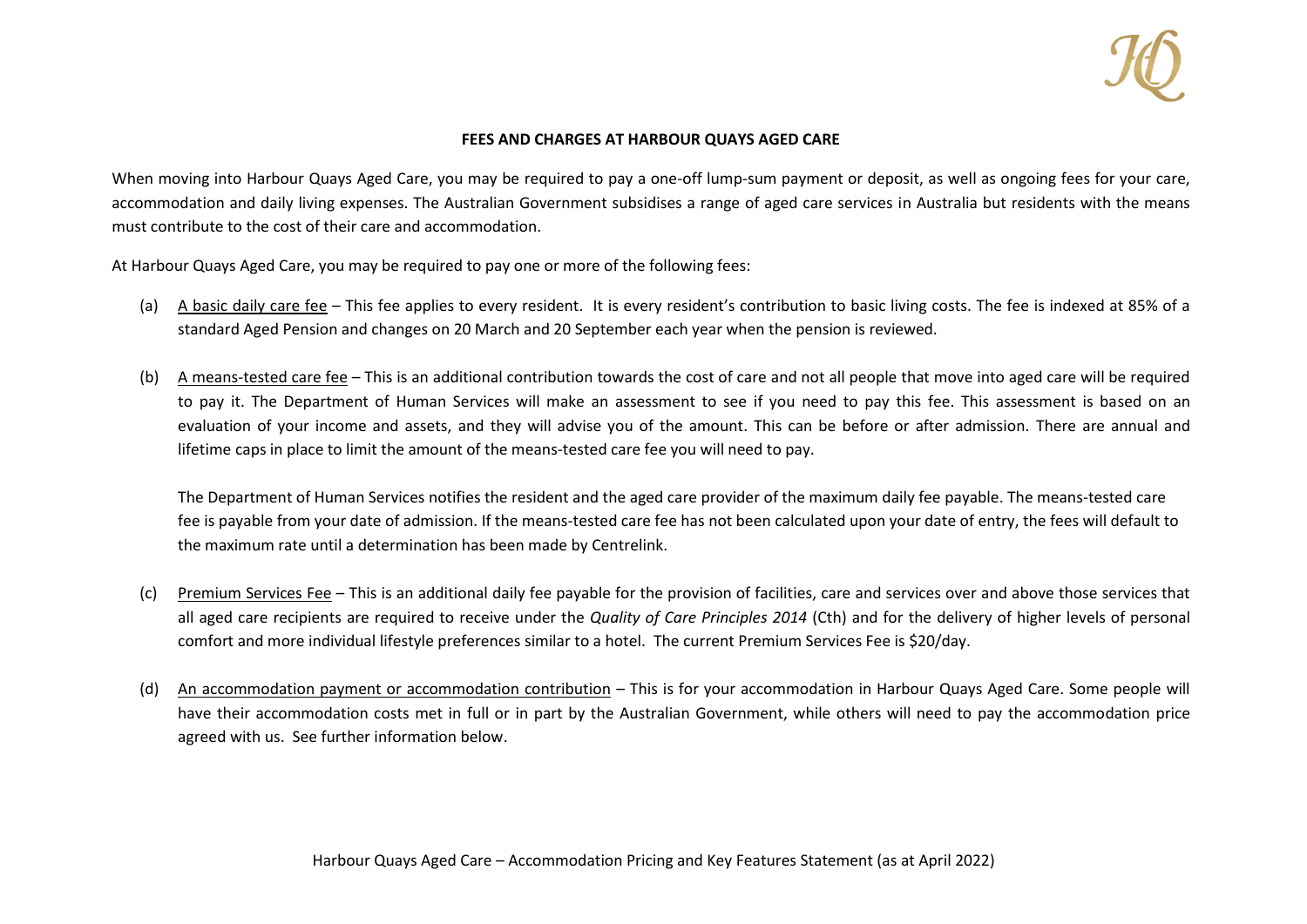

## **FEES AND CHARGES AT HARBOUR QUAYS AGED CARE**

When moving into Harbour Quays Aged Care, you may be required to pay a one-off lump-sum payment or deposit, as well as ongoing fees for your care, accommodation and daily living expenses. The Australian Government subsidises a range of aged care services in Australia but residents with the means must contribute to the cost of their care and accommodation.

At Harbour Quays Aged Care, you may be required to pay one or more of the following fees:

- (a) A basic daily care fee This fee applies to every resident. It is every resident's contribution to basic living costs. The fee is indexed at 85% of a standard Aged Pension and changes on 20 March and 20 September each year when the pension is reviewed.
- (b) A means-tested care fee This is an additional contribution towards the cost of care and not all people that move into aged care will be required to pay it. The Department of Human Services will make an assessment to see if you need to pay this fee. This assessment is based on an evaluation of your income and assets, and they will advise you of the amount. This can be before or after admission. There are annual and lifetime caps in place to limit the amount of the means-tested care fee you will need to pay.

The Department of Human Services notifies the resident and the aged care provider of the maximum daily fee payable. The means-tested care fee is payable from your date of admission. If the means-tested care fee has not been calculated upon your date of entry, the fees will default to the maximum rate until a determination has been made by Centrelink.

- (c) Premium Services Fee This is an additional daily fee payable for the provision of facilities, care and services over and above those services that all aged care recipients are required to receive under the *Quality of Care Principles 2014* (Cth) and for the delivery of higher levels of personal comfort and more individual lifestyle preferences similar to a hotel. The current Premium Services Fee is \$20/day.
- (d) An accommodation payment or accommodation contribution This is for your accommodation in Harbour Quays Aged Care. Some people will have their accommodation costs met in full or in part by the Australian Government, while others will need to pay the accommodation price agreed with us. See further information below.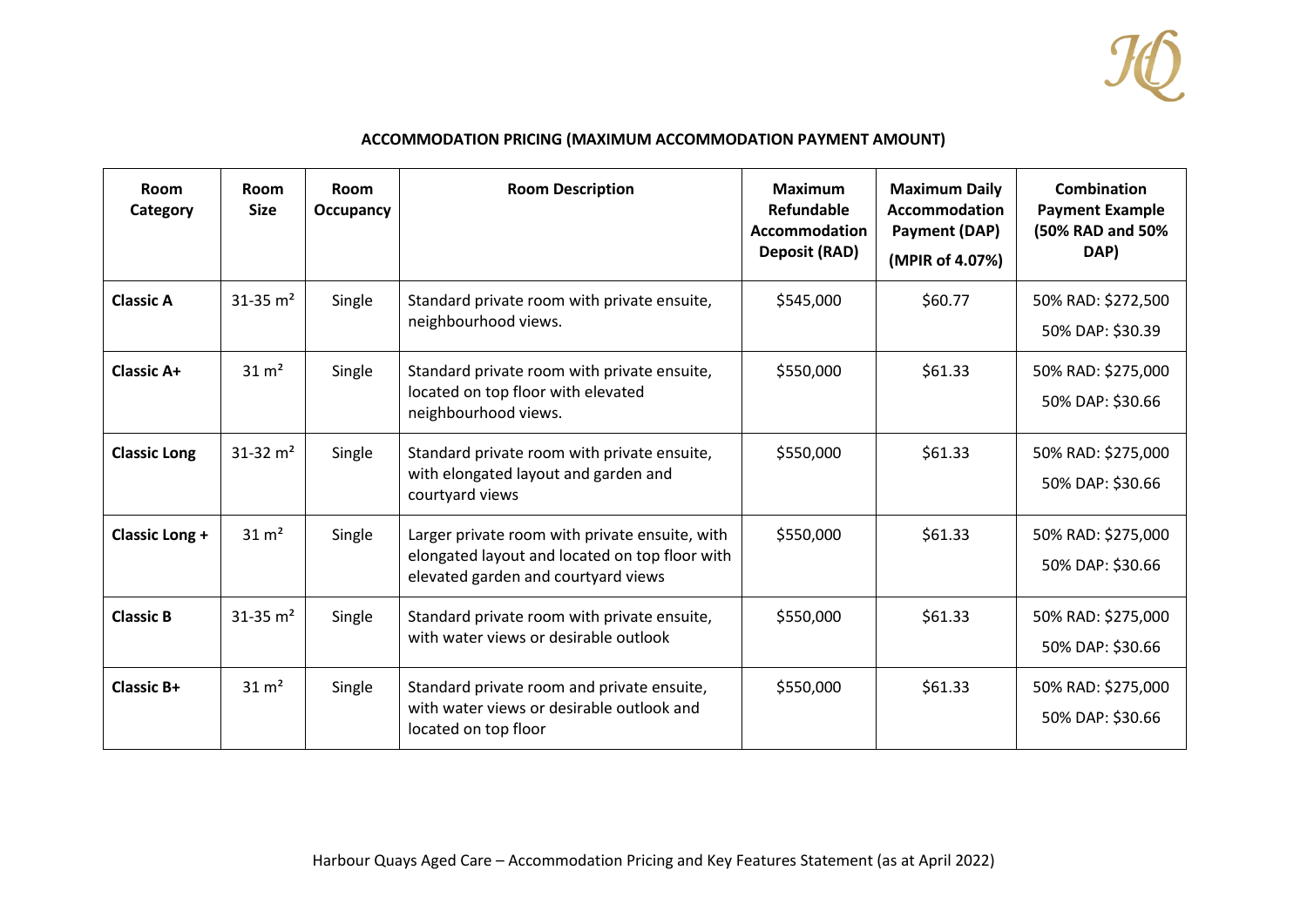

## **ACCOMMODATION PRICING (MAXIMUM ACCOMMODATION PAYMENT AMOUNT)**

| Room<br>Category      | Room<br><b>Size</b>      | Room<br>Occupancy | <b>Room Description</b>                                                                                                                 | <b>Maximum</b><br>Refundable<br>Accommodation<br><b>Deposit (RAD)</b> | <b>Maximum Daily</b><br><b>Accommodation</b><br>Payment (DAP)<br>(MPIR of 4.07%) | Combination<br><b>Payment Example</b><br>(50% RAD and 50%<br>DAP) |
|-----------------------|--------------------------|-------------------|-----------------------------------------------------------------------------------------------------------------------------------------|-----------------------------------------------------------------------|----------------------------------------------------------------------------------|-------------------------------------------------------------------|
| <b>Classic A</b>      | $31 - 35$ m <sup>2</sup> | Single            | Standard private room with private ensuite,<br>neighbourhood views.                                                                     | \$545,000                                                             | \$60.77                                                                          | 50% RAD: \$272,500<br>50% DAP: \$30.39                            |
| <b>Classic A+</b>     | $31 \text{ m}^2$         | Single            | Standard private room with private ensuite,<br>located on top floor with elevated<br>neighbourhood views.                               | \$550,000                                                             | \$61.33                                                                          | 50% RAD: \$275,000<br>50% DAP: \$30.66                            |
| <b>Classic Long</b>   | $31 - 32$ m <sup>2</sup> | Single            | Standard private room with private ensuite,<br>with elongated layout and garden and<br>courtyard views                                  | \$550,000                                                             | \$61.33                                                                          | 50% RAD: \$275,000<br>50% DAP: \$30.66                            |
| <b>Classic Long +</b> | $31 \text{ m}^2$         | Single            | Larger private room with private ensuite, with<br>elongated layout and located on top floor with<br>elevated garden and courtyard views | \$550,000                                                             | \$61.33                                                                          | 50% RAD: \$275,000<br>50% DAP: \$30.66                            |
| <b>Classic B</b>      | $31 - 35$ m <sup>2</sup> | Single            | Standard private room with private ensuite,<br>with water views or desirable outlook                                                    | \$550,000                                                             | \$61.33                                                                          | 50% RAD: \$275,000<br>50% DAP: \$30.66                            |
| <b>Classic B+</b>     | $31 \text{ m}^2$         | Single            | Standard private room and private ensuite,<br>with water views or desirable outlook and<br>located on top floor                         | \$550,000                                                             | \$61.33                                                                          | 50% RAD: \$275,000<br>50% DAP: \$30.66                            |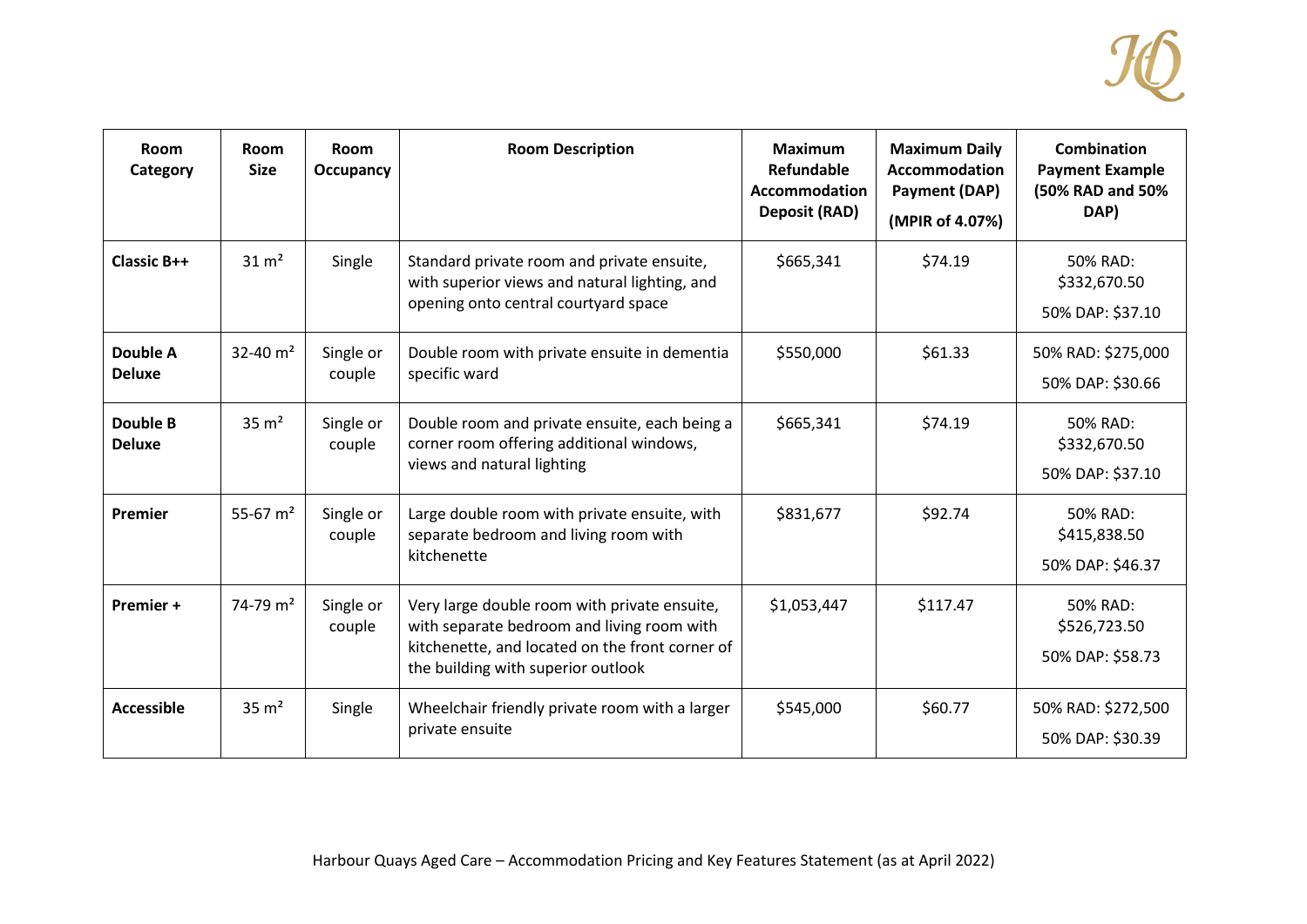

| Room<br>Category                 | Room<br><b>Size</b>    | Room<br>Occupancy   | <b>Room Description</b>                                                                                                                                                             | <b>Maximum</b><br>Refundable<br>Accommodation<br><b>Deposit (RAD)</b> | <b>Maximum Daily</b><br><b>Accommodation</b><br>Payment (DAP)<br>(MPIR of 4.07%) | <b>Combination</b><br><b>Payment Example</b><br>(50% RAD and 50%<br>DAP) |
|----------------------------------|------------------------|---------------------|-------------------------------------------------------------------------------------------------------------------------------------------------------------------------------------|-----------------------------------------------------------------------|----------------------------------------------------------------------------------|--------------------------------------------------------------------------|
| <b>Classic B++</b>               | $31 \text{ m}^2$       | Single              | Standard private room and private ensuite,<br>with superior views and natural lighting, and<br>opening onto central courtyard space                                                 | \$665,341                                                             | \$74.19                                                                          | 50% RAD:<br>\$332,670.50<br>50% DAP: \$37.10                             |
| Double A<br><b>Deluxe</b>        | 32-40 $m2$             | Single or<br>couple | Double room with private ensuite in dementia<br>specific ward                                                                                                                       | \$550,000                                                             | \$61.33                                                                          | 50% RAD: \$275,000<br>50% DAP: \$30.66                                   |
| <b>Double B</b><br><b>Deluxe</b> | $35 \text{ m}^2$       | Single or<br>couple | Double room and private ensuite, each being a<br>corner room offering additional windows,<br>views and natural lighting                                                             | \$665,341                                                             | \$74.19                                                                          | 50% RAD:<br>\$332,670.50<br>50% DAP: \$37.10                             |
| Premier                          | 55-67 $m2$             | Single or<br>couple | Large double room with private ensuite, with<br>separate bedroom and living room with<br>kitchenette                                                                                | \$831,677                                                             | \$92.74                                                                          | 50% RAD:<br>\$415,838.50<br>50% DAP: \$46.37                             |
| Premier +                        | $74-79$ m <sup>2</sup> | Single or<br>couple | Very large double room with private ensuite,<br>with separate bedroom and living room with<br>kitchenette, and located on the front corner of<br>the building with superior outlook | \$1,053,447                                                           | \$117.47                                                                         | 50% RAD:<br>\$526,723.50<br>50% DAP: \$58.73                             |
| Accessible                       | $35 \text{ m}^2$       | Single              | Wheelchair friendly private room with a larger<br>private ensuite                                                                                                                   | \$545,000                                                             | \$60.77                                                                          | 50% RAD: \$272,500<br>50% DAP: \$30.39                                   |